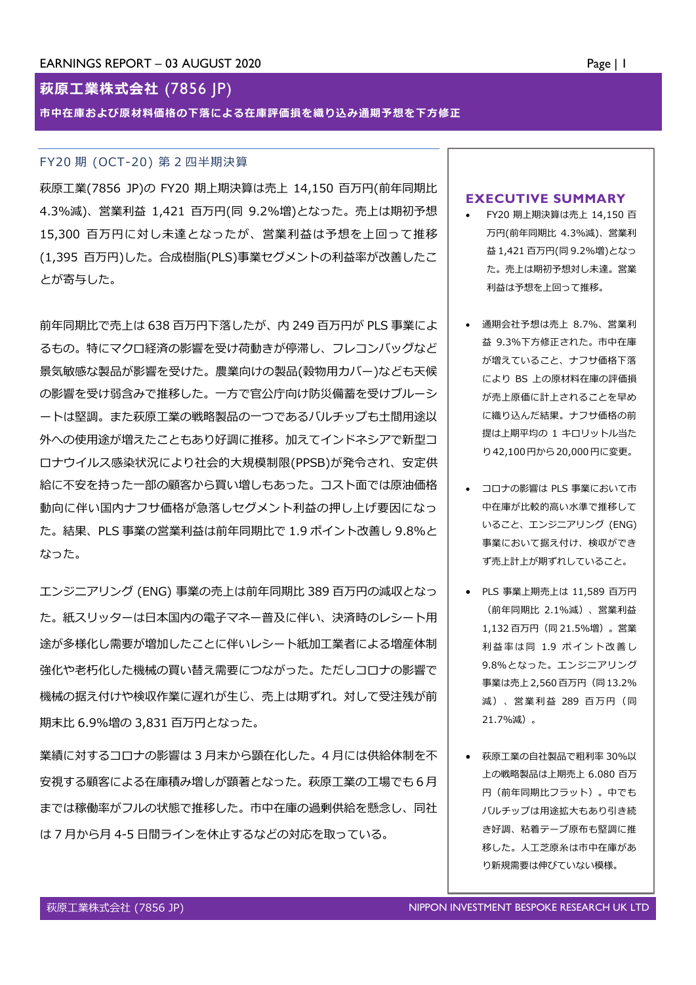# **萩原工業株式会社** (7856 JP)

*市中在庫および原材料価格の下落による在庫評価損を織り込み通期予想を下方修正*

### FY20 期 (OCT-20) 第 2 四半期決算

萩原工業(7856 JP)の FY20 期上期決算は売上 14,150 百万円(前年同期比 4.3%減)、営業利益 1,421 百万円(同 9.2%増)となった。売上は期初予想 15,300 百万円に対し未達となったが、営業利益は予想を上回って推移 (1,395 百万円)した。合成樹脂(PLS)事業セグメントの利益率が改善したこ とが寄与した。

前年同期比で売上は 638 百万円下落したが、内 249 百万円が PLS 事業によ るもの。特にマクロ経済の影響を受け荷動きが停滞し、フレコンバッグなど 景気敏感な製品が影響を受けた。農業向けの製品(穀物用カバー)なども天候 の影響を受け弱含みで推移した。一方で官公庁向け防災備蓄を受けブルーシ ートは堅調。また萩原工業の戦略製品の一つであるバルチップも土間用途以 外への使用途が増えたこともあり好調に推移。加えてインドネシアで新型コ ロナウイルス感染状況により社会的大規模制限(PPSB)が発令され、安定供 給に不安を持った一部の顧客から買い増しもあった。コスト面では原油価格 動向に伴い国内ナフサ価格が急落しセグメント利益の押し上げ要因になっ た。結果、PLS 事業の営業利益は前年同期比で 1.9 ポイント改善し 9.8%と なった。

エンジニアリング (ENG) 事業の売上は前年同期比 389 百万円の減収となっ た。紙スリッターは日本国内の電子マネー普及に伴い、決済時のレシート用 途が多様化し需要が増加したことに伴いレシート紙加工業者による増産体制 強化や老朽化した機械の買い替え需要につながった。ただしコロナの影響で 機械の据え付けや検収作業に遅れが生じ、売上は期ずれ。対して受注残が前 期末比 6.9%増の 3,831 百万円となった。

業績に対するコロナの影響は 3 月末から顕在化した。4 月には供給体制を不 安視する顧客による在庫積み増しが顕著となった。萩原工業の工場でも 6 月 までは稼働率がフルの状態で推移した。市中在庫の過剰供給を懸念し、同社 は 7 月から月 4-5 日間ラインを休止するなどの対応を取っている。

### **EXECUTIVE SUMMARY**

- FY20 期上期決算は売上 14,150 百 万円(前年同期比 4.3%減)、営業利 益 1,421 百万円(同 9.2%増)となっ た。売上は期初予想対し未達。営業 利益は予想を上回って推移。
- 通期会社予想は売上 8.7%、営業利 益 9.3%下方修正された。市中在庫 が増えていること、ナフサ価格下落 により BS 上の原材料在庫の評価損 が売上原価に計上されることを早め に織り込んだ結果。ナフサ価格の前 提は上期平均の 1 キロリットル当た り42,100円から20,000円に変更。
- コロナの影響は PLS 事業において市 中在庫が比較的高い水準で推移して いること、エンジニアリング (ENG) 事業において据え付け、検収ができ ず売上計上が期ずれしていること。
- PLS 事業上期売上は 11,589 百万円 (前年同期比 2.1%減)、営業利益 1,132 百万円(同 21.5%増)。営業 利益率は同 1.9 ポイント改善し 9.8%となった。エンジニアリング 事業は売上2,560百万円(同13.2% 減)、営業利益 289 百万円(同 21.7%減)。
- 萩原工業の自社製品で粗利率 30%以 上の戦略製品は上期売上 6.080 百万 円(前年同期比フラット)。中でも バルチップは用途拡大もあり引き続 き好調、粘着テープ原布も堅調に推 移した。人工芝原糸は市中在庫があ り新規需要は伸びていない模様。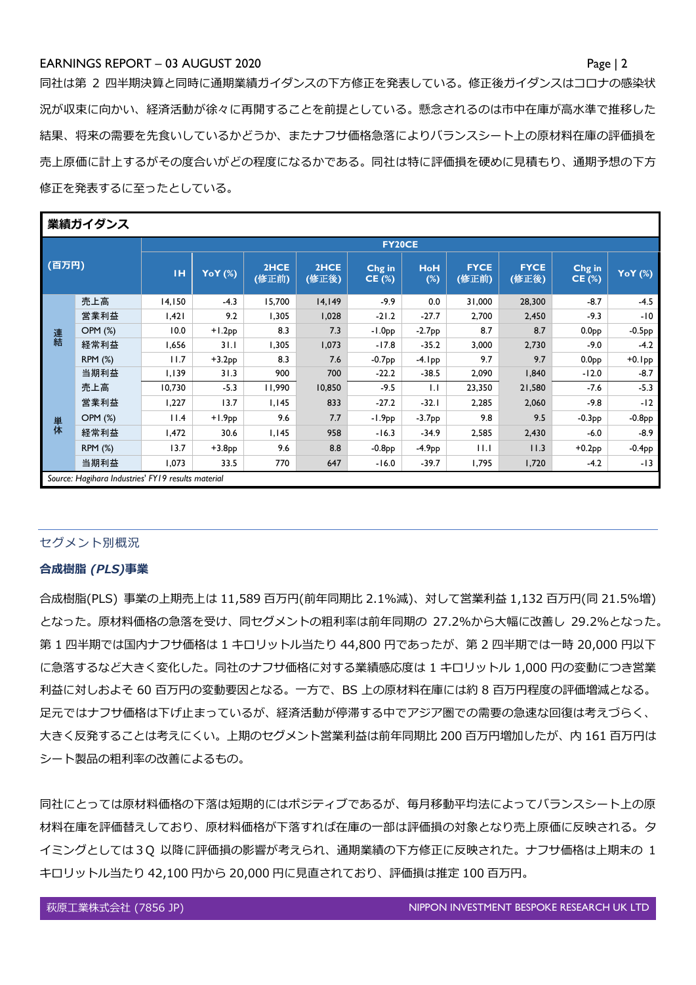## EARNINGS REPORT – 03 AUGUST 2020 Page | 2

同社は第 2 四半期決算と同時に通期業績ガイダンスの下方修正を発表している。修正後ガイダンスはコロナの感染状 況が収束に向かい、経済活動が徐々に再開することを前提としている。懸念されるのは市中在庫が高水準で推移した 結果、将来の需要を先食いしているかどうか、またナフサ価格急落によりバランスシート上の原材料在庫の評価損を 売上原価に計上するがその度合いがどの程度になるかである。同社は特に評価損を硬めに見積もり、通期予想の下方 修正を発表するに至ったとしている。

| 業績ガイダンス |                                                    |               |          |               |               |                 |                   |                      |                      |                         |           |  |  |  |
|---------|----------------------------------------------------|---------------|----------|---------------|---------------|-----------------|-------------------|----------------------|----------------------|-------------------------|-----------|--|--|--|
|         |                                                    | <b>FY20CE</b> |          |               |               |                 |                   |                      |                      |                         |           |  |  |  |
| (百万円)   |                                                    | <b>IH</b>     | YoY (%)  | 2HCE<br>(修正前) | 2HCE<br>(修正後) | Chg in<br>CE(%) | <b>HoH</b><br>(%) | <b>FYCE</b><br>(修正前) | <b>FYCE</b><br>(修正後) | Chg in<br><b>CE (%)</b> | YoY (%)   |  |  |  |
|         | 売上高                                                | 14,150        | $-4.3$   | 15,700        | 14,149        | -9.9            | 0.0               | 31,000               | 28,300               | $-8.7$                  | $-4.5$    |  |  |  |
|         | 営業利益                                               | 1,421         | 9.2      | 1,305         | 1,028         | $-21.2$         | $-27.7$           | 2,700                | 2,450                | $-9.3$                  | -10       |  |  |  |
| 連結      | OPM (%)                                            | 10.0          | $+1.2PP$ | 8.3           | 7.3           | $-1.0PP$        | $-2.7PP$          | 8.7                  | 8.7                  | 0.0 <sub>PP</sub>       | $-0.5PP$  |  |  |  |
|         | 経常利益                                               | 1,656         | 31.1     | 1,305         | 1,073         | $-17.8$         | $-35.2$           | 3,000                | 2,730                | $-9.0$                  | $-4.2$    |  |  |  |
|         | <b>RPM (%)</b>                                     | 11.7          | $+3.2PP$ | 8.3           | 7.6           | $-0.7PP$        | -4. I pp          | 9.7                  | 9.7                  | 0.0 <sub>PP</sub>       | $+0.1$ pp |  |  |  |
|         | 当期利益                                               | 1,139         | 31.3     | 900           | 700           | $-22.2$         | $-38.5$           | 2,090                | 1,840                | $-12.0$                 | $-8.7$    |  |  |  |
|         | 売上高                                                | 10,730        | $-5.3$   | 11,990        | 10,850        | $-9.5$          | 1.1               | 23,350               | 21,580               | $-7.6$                  | $-5.3$    |  |  |  |
|         | 営業利益                                               | 1,227         | 13.7     | 1,145         | 833           | $-27.2$         | $-32.1$           | 2,285                | 2,060                | -9.8                    | $-12$     |  |  |  |
| 単体      | <b>OPM (%)</b>                                     | 11.4          | $+1.9pp$ | 9.6           | 7.7           | $-1.9PP$        | $-3.7PP$          | 9.8                  | 9.5                  | $-0.3PP$                | $-0.8PP$  |  |  |  |
|         | 経常利益                                               | 1,472         | 30.6     | 1,145         | 958           | $-16.3$         | $-34.9$           | 2,585                | 2,430                | $-6.0$                  | $-8.9$    |  |  |  |
|         | <b>RPM (%)</b>                                     | 13.7          | $+3.8PP$ | 9.6           | 8.8           | $-0.8PP$        | $-4.9PP$          | 11.1                 | 11.3                 | $+0.2$ pp               | $-0.4PP$  |  |  |  |
|         | 当期利益                                               | 1,073         | 33.5     | 770           | 647           | $-16.0$         | $-39.7$           | 1,795                | 1,720                | $-4.2$                  | -13       |  |  |  |
|         | Source: Hagihara Industries' FY19 results material |               |          |               |               |                 |                   |                      |                      |                         |           |  |  |  |

## セグメント別概況

### *合成樹脂 (PLS)事業*

合成樹脂(PLS) 事業の上期売上は 11,589 百万円(前年同期比 2.1%減)、対して営業利益 1,132 百万円(同 21.5%増) となった。原材料価格の急落を受け、同セグメントの粗利率は前年同期の 27.2%から大幅に改善し 29.2%となった。 第 1 四半期では国内ナフサ価格は 1 キロリットル当たり 44,800 円であったが、第 2 四半期では一時 20,000 円以下 に急落するなど大きく変化した。同社のナフサ価格に対する業績感応度は 1 キロリットル 1,000 円の変動につき営業 利益に対しおよそ 60 百万円の変動要因となる。一方で、BS 上の原材料在庫には約 8 百万円程度の評価増減となる。 足元ではナフサ価格は下げ止まっているが、経済活動が停滞する中でアジア圏での需要の急速な回復は考えづらく、 大きく反発することは考えにくい。上期のセグメント営業利益は前年同期比 200 百万円増加したが、内 161 百万円は シート製品の粗利率の改善によるもの。

同社にとっては原材料価格の下落は短期的にはポジティブであるが、毎月移動平均法によってバランスシート上の原 材料在庫を評価替えしており、原材料価格が下落すれば在庫の一部は評価損の対象となり売上原価に反映される。タ イミングとしては3Q 以降に評価損の影響が考えられ、通期業績の下方修正に反映された。ナフサ価格は上期末の 1 キロリットル当たり 42,100 円から 20,000 円に見直されており、評価損は推定 100 百万円。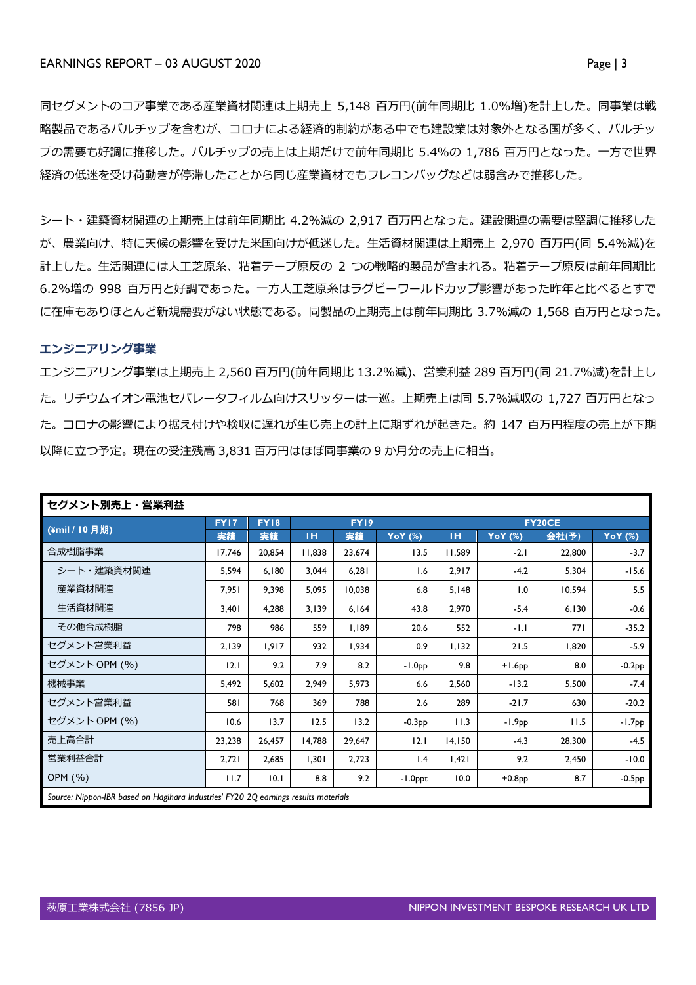同セグメントのコア事業である産業資材関連は上期売上 5,148 百万円(前年同期比 1.0%増)を計上した。同事業は戦 略製品であるバルチップを含むが、コロナによる経済的制約がある中でも建設業は対象外となる国が多く、バルチッ プの需要も好調に推移した。バルチップの売上は上期だけで前年同期比 5.4%の 1,786 百万円となった。一方で世界 経済の低迷を受け荷動きが停滞したことから同じ産業資材でもフレコンバッグなどは弱含みで推移した。

シート・建築資材関連の上期売上は前年同期比 4.2%減の 2,917 百万円となった。建設関連の需要は堅調に推移した が、農業向け、特に天候の影響を受けた米国向けが低迷した。生活資材関連は上期売上 2,970 百万円(同 5.4%減)を 計上した。生活関連には人工芝原糸、粘着テープ原反の 2 つの戦略的製品が含まれる。粘着テープ原反は前年同期比 6.2%増の 998 百万円と好調であった。一方人工芝原糸はラグビーワールドカップ影響があった昨年と比べるとすで に在庫もありほとんど新規需要がない状態である。同製品の上期売上は前年同期比 3.7%減の 1,568 百万円となった。

## *エンジニアリング事業*

エンジニアリング事業は上期売上 2,560 百万円(前年同期比 13.2%減)、営業利益 289 百万円(同 21.7%減)を計上し た。リチウムイオン電池セパレータフィルム向けスリッターは一巡。上期売上は同 5.7%減収の 1,727 百万円となっ た。コロナの影響により据え付けや検収に遅れが生じ売上の計上に期ずれが起きた。約 147 百万円程度の売上が下期 以降に立つ予定。現在の受注残高 3,831 百万円はほぼ同事業の 9 か月分の売上に相当。

| セグメント別売上・営業利益                                                                       |             |             |             |        |          |               |           |        |          |  |
|-------------------------------------------------------------------------------------|-------------|-------------|-------------|--------|----------|---------------|-----------|--------|----------|--|
|                                                                                     | <b>FY17</b> | <b>FY18</b> | <b>FY19</b> |        |          | <b>FY20CE</b> |           |        |          |  |
| (¥mil / 10 月期)                                                                      | 実績          | 実績          | TH.         | 実績     | YoY (%)  | TH.           | YoY (%)   | 会社(予)  | YoY (%)  |  |
| 合成樹脂事業                                                                              | 17,746      | 20,854      | 11,838      | 23,674 | 13.5     | 11,589        | $-2.1$    | 22,800 | $-3.7$   |  |
| シート・建築資材関連                                                                          | 5,594       | 6,180       | 3.044       | 6,281  | 1.6      | 2,917         | $-4.2$    | 5,304  | $-15.6$  |  |
| 産業資材関連                                                                              | 7,951       | 9,398       | 5,095       | 10,038 | 6.8      | 5,148         | 1.0       | 10,594 | 5.5      |  |
| 生活資材関連                                                                              | 3,401       | 4,288       | 3,139       | 6,164  | 43.8     | 2,970         | $-5.4$    | 6,130  | $-0.6$   |  |
| その他合成樹脂                                                                             | 798         | 986         | 559         | 1,189  | 20.6     | 552           | -1.1      | 771    | $-35.2$  |  |
| セグメント営業利益                                                                           | 2,139       | 1,917       | 932         | 1,934  | 0.9      | 1,132         | 21.5      | 1,820  | $-5.9$   |  |
| セグメント OPM (%)                                                                       | 12.1        | 9.2         | 7.9         | 8.2    | $-1.0PP$ | 9.8           | $+1.6$ pp | 8.0    | $-0.2PP$ |  |
| 機械事業                                                                                | 5,492       | 5,602       | 2,949       | 5,973  | 6.6      | 2,560         | $-13.2$   | 5,500  | $-7.4$   |  |
| セグメント営業利益                                                                           | 581         | 768         | 369         | 788    | 2.6      | 289           | $-21.7$   | 630    | $-20.2$  |  |
| セグメント OPM (%)                                                                       | 10.6        | 13.7        | 12.5        | 13.2   | $-0.3PP$ | 11.3          | $-1.9PP$  | 11.5   | $-1.7PP$ |  |
| 売上高合計                                                                               | 23,238      | 26,457      | 14,788      | 29,647 | 2.1      | 14,150        | $-4.3$    | 28,300 | $-4.5$   |  |
| 営業利益合計                                                                              | 2,721       | 2,685       | 1,301       | 2,723  | 1.4      | 1,421         | 9.2       | 2,450  | $-10.0$  |  |
| OPM (%)                                                                             | 11.7        | 10.1        | 8.8         | 9.2    | -1.0ppt  | 10.0          | $+0.8PP$  | 8.7    | $-0.5PP$ |  |
| Source: Nippon-IBR based on Hagihara Industries' FY20 2Q earnings results materials |             |             |             |        |          |               |           |        |          |  |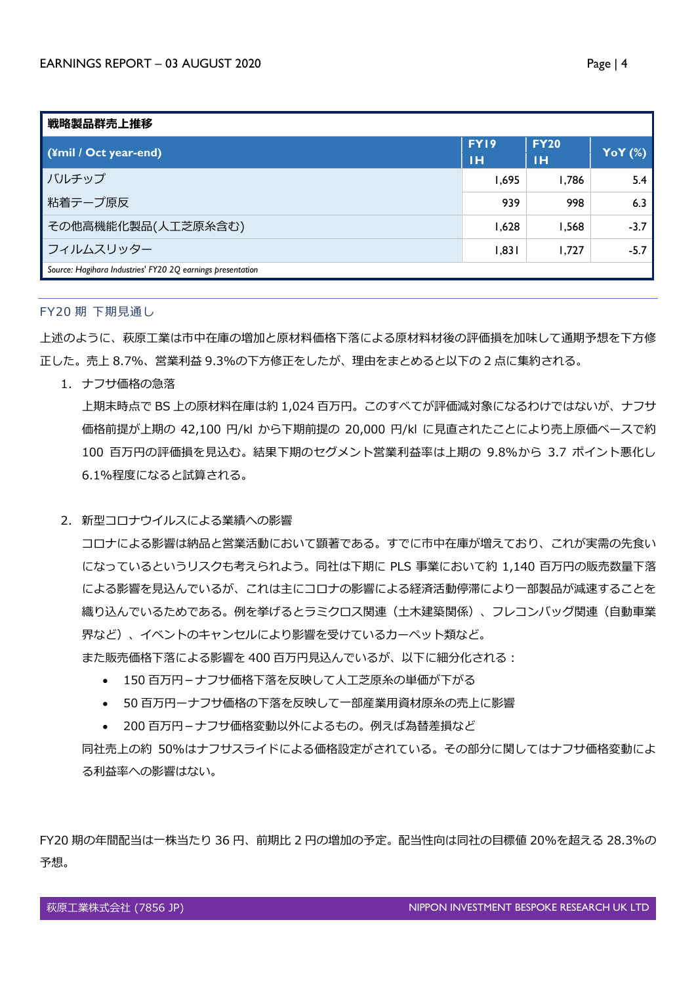| 戦略製品群売上推移                                                  |                                                                              |             |                |  |  |  |  |  |  |
|------------------------------------------------------------|------------------------------------------------------------------------------|-------------|----------------|--|--|--|--|--|--|
| (¥mil / Oct year-end)                                      | FY19                                                                         | <b>FY20</b> | <b>YoY</b> (%) |  |  |  |  |  |  |
|                                                            | тн<br>тн<br>1,695<br>1,786<br>939<br>998<br>1,628<br>1,568<br>1,831<br>1,727 |             |                |  |  |  |  |  |  |
| バルチップ                                                      |                                                                              |             | 5.4            |  |  |  |  |  |  |
| 粘着テープ原反                                                    |                                                                              |             | 6.3            |  |  |  |  |  |  |
| その他高機能化製品(人工芝原糸含む)                                         |                                                                              |             | $-3.7$         |  |  |  |  |  |  |
| フィルムスリッター                                                  |                                                                              |             | $-5.7$         |  |  |  |  |  |  |
| Source: Hagihara Industries' FY20 2Q earnings presentation |                                                                              |             |                |  |  |  |  |  |  |

### FY20 期 下期見通し

上述のように、萩原工業は市中在庫の増加と原材料価格下落による原材料材後の評価損を加味して通期予想を下方修 正した。売上 8.7%、営業利益 9.3%の下方修正をしたが、理由をまとめると以下の 2 点に集約される。

1. ナフサ価格の急落

上期末時点で BS 上の原材料在庫は約 1,024 百万円。このすべてが評価減対象になるわけではないが、ナフサ 価格前提が上期の 42,100 円/kl から下期前提の 20,000 円/kl に見直されたことにより売上原価ベースで約 100 百万円の評価損を見込む。結果下期のセグメント営業利益率は上期の 9.8%から 3.7 ポイント悪化し 6.1%程度になると試算される。

2. 新型コロナウイルスによる業績への影響

コロナによる影響は納品と営業活動において顕著である。すでに市中在庫が増えており、これが実需の先食い になっているというリスクも考えられよう。同社は下期に PLS 事業において約 1,140 百万円の販売数量下落 による影響を見込んでいるが、これは主にコロナの影響による経済活動停滞により一部製品が減速することを 織り込んでいるためである。例を挙げるとラミクロス関連(土木建築関係)、フレコンバッグ関連(自動車業 界など)、イベントのキャンセルにより影響を受けているカーペット類など。 また販売価格下落による影響を 400 百万円見込んでいるが、以下に細分化される:

- 150 百万円 ナフサ価格下落を反映して人工芝原糸の単価が下がる
- 50 百万円ーナフサ価格の下落を反映して一部産業用資材原糸の売上に影響
- 200 百万円-ナフサ価格変動以外によるもの。例えば為替差損など

同社売上の約 50%はナフサスライドによる価格設定がされている。その部分に関してはナフサ価格変動によ る利益率への影響はない。

FY20 期の年間配当は一株当たり 36 円、前期比 2 円の増加の予定。配当性向は同社の目標値 20%を超える 28.3%の 予想。